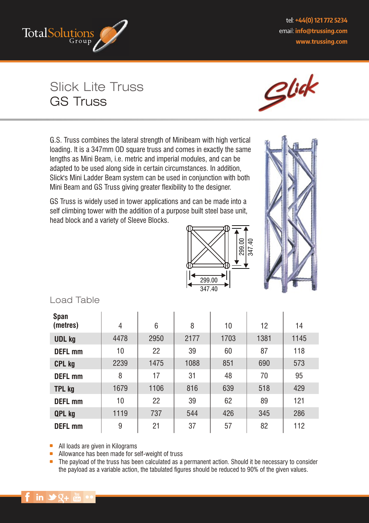

tel: +44(0) 121 772 5234 email: info@trussing.com www.trussing.com

# Slick Lite Truss GS Truss



G.S. Truss combines the lateral strength of Minibeam with high vertical loading. It is a 347mm OD square truss and comes in exactly the same lengths as Mini Beam, i.e. metric and imperial modules, and can be adapted to be used along side in certain circumstances. In addition, Slick's Mini Ladder Beam system can be used in conjunction with both Mini Beam and GS Truss giving greater flexibility to the designer.

GS Truss is widely used in tower applications and can be made into a self climbing tower with the addition of a purpose built steel base unit, head block and a variety of Sleeve Blocks.





### Load Table

| <b>Span</b><br>(metres) | 4    | 6    | 8    | 10   | 12   | 14   |
|-------------------------|------|------|------|------|------|------|
| <b>UDL kg</b>           | 4478 | 2950 | 2177 | 1703 | 1381 | 1145 |
| <b>DEFL mm</b>          | 10   | 22   | 39   | 60   | 87   | 118  |
| <b>CPL kg</b>           | 2239 | 1475 | 1088 | 851  | 690  | 573  |
| <b>DEFL mm</b>          | 8    | 17   | 31   | 48   | 70   | 95   |
| <b>TPL kg</b>           | 1679 | 1106 | 816  | 639  | 518  | 429  |
| <b>DEFL mm</b>          | 10   | 22   | 39   | 62   | 89   | 121  |
| QPL kg                  | 1119 | 737  | 544  | 426  | 345  | 286  |
| <b>DEFL mm</b>          | 9    | 21   | 37   | 57   | 82   | 112  |

All loads are given in Kilograms

Allowance has been made for self-weight of truss

**The payload of the truss has been calculated as a permanent action. Should it be necessary to consider** the payload as a variable action, the tabulated figures should be reduced to 90% of the given values.